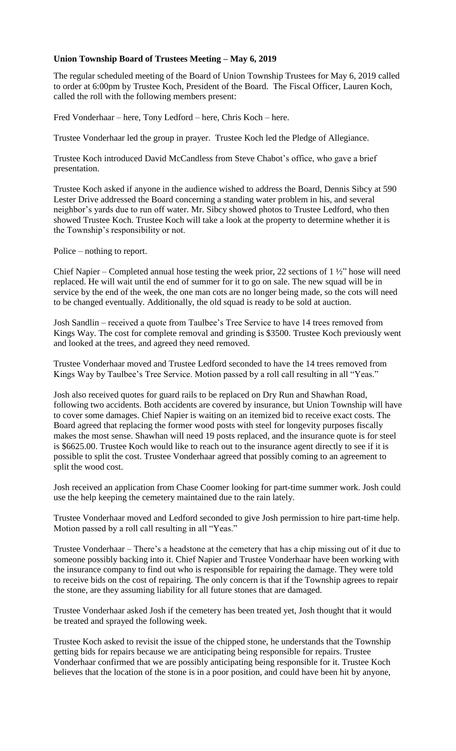## **Union Township Board of Trustees Meeting – May 6, 2019**

The regular scheduled meeting of the Board of Union Township Trustees for May 6, 2019 called to order at 6:00pm by Trustee Koch, President of the Board. The Fiscal Officer, Lauren Koch, called the roll with the following members present:

Fred Vonderhaar – here, Tony Ledford – here, Chris Koch – here.

Trustee Vonderhaar led the group in prayer. Trustee Koch led the Pledge of Allegiance.

Trustee Koch introduced David McCandless from Steve Chabot's office, who gave a brief presentation.

Trustee Koch asked if anyone in the audience wished to address the Board, Dennis Sibcy at 590 Lester Drive addressed the Board concerning a standing water problem in his, and several neighbor's yards due to run off water. Mr. Sibcy showed photos to Trustee Ledford, who then showed Trustee Koch. Trustee Koch will take a look at the property to determine whether it is the Township's responsibility or not.

Police – nothing to report.

Chief Napier – Completed annual hose testing the week prior, 22 sections of  $1\frac{1}{2}$ " hose will need replaced. He will wait until the end of summer for it to go on sale. The new squad will be in service by the end of the week, the one man cots are no longer being made, so the cots will need to be changed eventually. Additionally, the old squad is ready to be sold at auction.

Josh Sandlin – received a quote from Taulbee's Tree Service to have 14 trees removed from Kings Way. The cost for complete removal and grinding is \$3500. Trustee Koch previously went and looked at the trees, and agreed they need removed.

Trustee Vonderhaar moved and Trustee Ledford seconded to have the 14 trees removed from Kings Way by Taulbee's Tree Service. Motion passed by a roll call resulting in all "Yeas."

Josh also received quotes for guard rails to be replaced on Dry Run and Shawhan Road, following two accidents. Both accidents are covered by insurance, but Union Township will have to cover some damages. Chief Napier is waiting on an itemized bid to receive exact costs. The Board agreed that replacing the former wood posts with steel for longevity purposes fiscally makes the most sense. Shawhan will need 19 posts replaced, and the insurance quote is for steel is \$6625.00. Trustee Koch would like to reach out to the insurance agent directly to see if it is possible to split the cost. Trustee Vonderhaar agreed that possibly coming to an agreement to split the wood cost.

Josh received an application from Chase Coomer looking for part-time summer work. Josh could use the help keeping the cemetery maintained due to the rain lately.

Trustee Vonderhaar moved and Ledford seconded to give Josh permission to hire part-time help. Motion passed by a roll call resulting in all "Yeas."

Trustee Vonderhaar – There's a headstone at the cemetery that has a chip missing out of it due to someone possibly backing into it. Chief Napier and Trustee Vonderhaar have been working with the insurance company to find out who is responsible for repairing the damage. They were told to receive bids on the cost of repairing. The only concern is that if the Township agrees to repair the stone, are they assuming liability for all future stones that are damaged.

Trustee Vonderhaar asked Josh if the cemetery has been treated yet, Josh thought that it would be treated and sprayed the following week.

Trustee Koch asked to revisit the issue of the chipped stone, he understands that the Township getting bids for repairs because we are anticipating being responsible for repairs. Trustee Vonderhaar confirmed that we are possibly anticipating being responsible for it. Trustee Koch believes that the location of the stone is in a poor position, and could have been hit by anyone,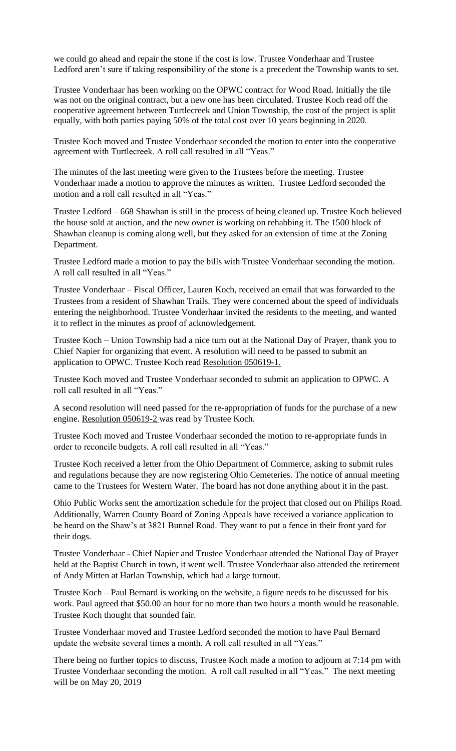we could go ahead and repair the stone if the cost is low. Trustee Vonderhaar and Trustee Ledford aren't sure if taking responsibility of the stone is a precedent the Township wants to set.

Trustee Vonderhaar has been working on the OPWC contract for Wood Road. Initially the tile was not on the original contract, but a new one has been circulated. Trustee Koch read off the cooperative agreement between Turtlecreek and Union Township, the cost of the project is split equally, with both parties paying 50% of the total cost over 10 years beginning in 2020.

Trustee Koch moved and Trustee Vonderhaar seconded the motion to enter into the cooperative agreement with Turtlecreek. A roll call resulted in all "Yeas."

The minutes of the last meeting were given to the Trustees before the meeting. Trustee Vonderhaar made a motion to approve the minutes as written. Trustee Ledford seconded the motion and a roll call resulted in all "Yeas."

Trustee Ledford – 668 Shawhan is still in the process of being cleaned up. Trustee Koch believed the house sold at auction, and the new owner is working on rehabbing it. The 1500 block of Shawhan cleanup is coming along well, but they asked for an extension of time at the Zoning Department.

Trustee Ledford made a motion to pay the bills with Trustee Vonderhaar seconding the motion. A roll call resulted in all "Yeas."

Trustee Vonderhaar – Fiscal Officer, Lauren Koch, received an email that was forwarded to the Trustees from a resident of Shawhan Trails. They were concerned about the speed of individuals entering the neighborhood. Trustee Vonderhaar invited the residents to the meeting, and wanted it to reflect in the minutes as proof of acknowledgement.

Trustee Koch – Union Township had a nice turn out at the National Day of Prayer, thank you to Chief Napier for organizing that event. A resolution will need to be passed to submit an application to OPWC. Trustee Koch read Resolution 050619-1.

Trustee Koch moved and Trustee Vonderhaar seconded to submit an application to OPWC. A roll call resulted in all "Yeas."

A second resolution will need passed for the re-appropriation of funds for the purchase of a new engine. Resolution 050619-2 was read by Trustee Koch.

Trustee Koch moved and Trustee Vonderhaar seconded the motion to re-appropriate funds in order to reconcile budgets. A roll call resulted in all "Yeas."

Trustee Koch received a letter from the Ohio Department of Commerce, asking to submit rules and regulations because they are now registering Ohio Cemeteries. The notice of annual meeting came to the Trustees for Western Water. The board has not done anything about it in the past.

Ohio Public Works sent the amortization schedule for the project that closed out on Philips Road. Additionally, Warren County Board of Zoning Appeals have received a variance application to be heard on the Shaw's at 3821 Bunnel Road. They want to put a fence in their front yard for their dogs.

Trustee Vonderhaar - Chief Napier and Trustee Vonderhaar attended the National Day of Prayer held at the Baptist Church in town, it went well. Trustee Vonderhaar also attended the retirement of Andy Mitten at Harlan Township, which had a large turnout.

Trustee Koch – Paul Bernard is working on the website, a figure needs to be discussed for his work. Paul agreed that \$50.00 an hour for no more than two hours a month would be reasonable. Trustee Koch thought that sounded fair.

Trustee Vonderhaar moved and Trustee Ledford seconded the motion to have Paul Bernard update the website several times a month. A roll call resulted in all "Yeas."

There being no further topics to discuss, Trustee Koch made a motion to adjourn at 7:14 pm with Trustee Vonderhaar seconding the motion. A roll call resulted in all "Yeas." The next meeting will be on May 20, 2019